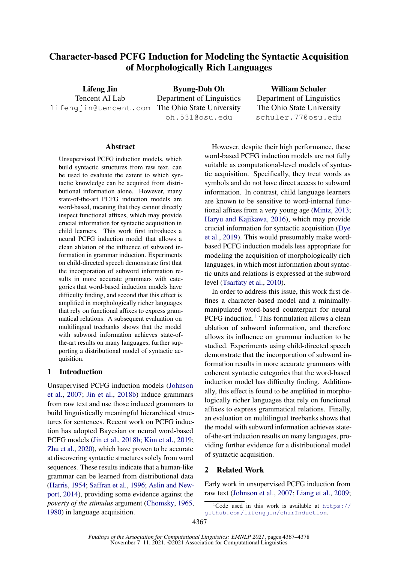# Character-based PCFG Induction for Modeling the Syntactic Acquisition of Morphologically Rich Languages

Lifeng Jin Tencent AI Lab lifengjin@tencent.com

Byung-Doh Oh Department of Linguistics The Ohio State University oh.531@osu.edu

William Schuler Department of Linguistics The Ohio State University schuler.77@osu.edu

#### **Abstract**

Unsupervised PCFG induction models, which build syntactic structures from raw text, can be used to evaluate the extent to which syntactic knowledge can be acquired from distributional information alone. However, many state-of-the-art PCFG induction models are word-based, meaning that they cannot directly inspect functional affixes, which may provide crucial information for syntactic acquisition in child learners. This work first introduces a neural PCFG induction model that allows a clean ablation of the influence of subword information in grammar induction. Experiments on child-directed speech demonstrate first that the incorporation of subword information results in more accurate grammars with categories that word-based induction models have difficulty finding, and second that this effect is amplified in morphologically richer languages that rely on functional affixes to express grammatical relations. A subsequent evaluation on multilingual treebanks shows that the model with subword information achieves state-ofthe-art results on many languages, further supporting a distributional model of syntactic acquisition.

### 1 Introduction

Unsupervised PCFG induction models [\(Johnson](#page-9-0) [et al.,](#page-9-0) [2007;](#page-9-0) [Jin et al.,](#page-9-1) [2018b\)](#page-9-1) induce grammars from raw text and use those induced grammars to build linguistically meaningful hierarchical structures for sentences. Recent work on PCFG induction has adopted Bayesian or neural word-based PCFG models [\(Jin et al.,](#page-9-1) [2018b;](#page-9-1) [Kim et al.,](#page-9-2) [2019;](#page-9-2) [Zhu et al.,](#page-10-0) [2020\)](#page-10-0), which have proven to be accurate at discovering syntactic structures solely from word sequences. These results indicate that a human-like grammar can be learned from distributional data [\(Harris,](#page-8-0) [1954;](#page-8-0) [Saffran et al.,](#page-10-1) [1996;](#page-10-1) [Aslin and New](#page-8-1)[port,](#page-8-1) [2014\)](#page-8-1), providing some evidence against the *poverty of the stimulus* argument [\(Chomsky,](#page-8-2) [1965,](#page-8-2) [1980\)](#page-8-3) in language acquisition.

However, despite their high performance, these word-based PCFG induction models are not fully suitable as computational-level models of syntactic acquisition. Specifically, they treat words as symbols and do not have direct access to subword information. In contrast, child language learners are known to be sensitive to word-internal functional affixes from a very young age [\(Mintz,](#page-9-3) [2013;](#page-9-3) [Haryu and Kajikawa,](#page-9-4) [2016\)](#page-9-4), which may provide crucial information for syntactic acquisition [\(Dye](#page-8-4) [et al.,](#page-8-4) [2019\)](#page-8-4). This would presumably make wordbased PCFG induction models less appropriate for modeling the acquisition of morphologically rich languages, in which most information about syntactic units and relations is expressed at the subword level [\(Tsarfaty et al.,](#page-10-2) [2010\)](#page-10-2).

In order to address this issue, this work first defines a character-based model and a minimallymanipulated word-based counterpart for neural PCFG induction.<sup>[1](#page-0-0)</sup> This formulation allows a clean ablation of subword information, and therefore allows its influence on grammar induction to be studied. Experiments using child-directed speech demonstrate that the incorporation of subword information results in more accurate grammars with coherent syntactic categories that the word-based induction model has difficulty finding. Additionally, this effect is found to be amplified in morphologically richer languages that rely on functional affixes to express grammatical relations. Finally, an evaluation on multilingual treebanks shows that the model with subword information achieves stateof-the-art induction results on many languages, providing further evidence for a distributional model of syntactic acquisition.

## 2 Related Work

Early work in unsupervised PCFG induction from raw text [\(Johnson et al.,](#page-9-0) [2007;](#page-9-0) [Liang et al.,](#page-9-5) [2009;](#page-9-5)

<span id="page-0-0"></span><sup>&</sup>lt;sup>1</sup>Code used in this work is available at  $https://$ [github.com/lifengjin/charInduction](https://github.com/lifengjin/charInduction).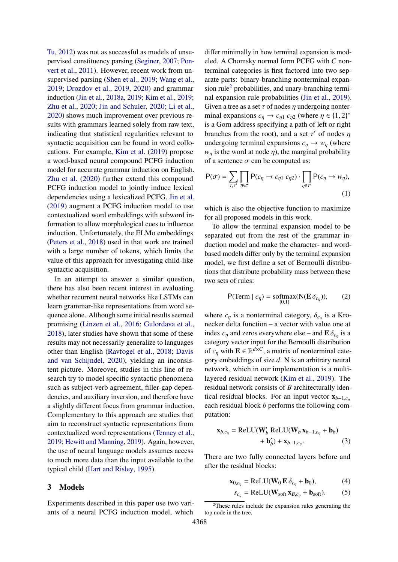[Tu,](#page-10-3) [2012\)](#page-10-3) was not as successful as models of unsupervised constituency parsing [\(Seginer,](#page-10-4) [2007;](#page-10-4) [Pon](#page-9-6)[vert et al.,](#page-9-6) [2011\)](#page-9-6). However, recent work from unsupervised parsing [\(Shen et al.,](#page-10-5) [2019;](#page-10-5) [Wang et al.,](#page-10-6) [2019;](#page-10-6) [Drozdov et al.,](#page-8-5) [2019,](#page-8-5) [2020\)](#page-8-6) and grammar induction [\(Jin et al.,](#page-9-7) [2018a,](#page-9-7) [2019;](#page-9-8) [Kim et al.,](#page-9-2) [2019;](#page-9-2) [Zhu et al.,](#page-10-0) [2020;](#page-10-0) [Jin and Schuler,](#page-9-9) [2020;](#page-9-9) [Li et al.,](#page-9-10) [2020\)](#page-9-10) shows much improvement over previous results with grammars learned solely from raw text, indicating that statistical regularities relevant to syntactic acquisition can be found in word collocations. For example, [Kim et al.](#page-9-2) [\(2019\)](#page-9-2) propose a word-based neural compound PCFG induction model for accurate grammar induction on English. [Zhu et al.](#page-10-0) [\(2020\)](#page-10-0) further extend this compound PCFG induction model to jointly induce lexical dependencies using a lexicalized PCFG. [Jin et al.](#page-9-8) [\(2019\)](#page-9-8) augment a PCFG induction model to use contextualized word embeddings with subword information to allow morphological cues to influence induction. Unfortunately, the ELMo embeddings [\(Peters et al.,](#page-9-11) [2018\)](#page-9-11) used in that work are trained with a large number of tokens, which limits the value of this approach for investigating child-like syntactic acquisition.

In an attempt to answer a similar question, there has also been recent interest in evaluating whether recurrent neural networks like LSTMs can learn grammar-like representations from word sequence alone. Although some initial results seemed promising [\(Linzen et al.,](#page-9-12) [2016;](#page-9-12) [Gulordava et al.,](#page-8-7) [2018\)](#page-8-7), later studies have shown that some of these results may not necessarily generalize to languages other than English [\(Ravfogel et al.,](#page-10-7) [2018;](#page-10-7) [Davis](#page-8-8) [and van Schijndel,](#page-8-8) [2020\)](#page-8-8), yielding an inconsistent picture. Moreover, studies in this line of research try to model specific syntactic phenomena such as subject-verb agreement, filler-gap dependencies, and auxiliary inversion, and therefore have a slightly different focus from grammar induction. Complementary to this approach are studies that aim to reconstruct syntactic representations from contextualized word representations [\(Tenney et al.,](#page-10-8) [2019;](#page-10-8) [Hewitt and Manning,](#page-9-13) [2019\)](#page-9-13). Again, however, the use of neural language models assumes access to much more data than the input available to the typical child [\(Hart and Risley,](#page-8-9) [1995\)](#page-8-9).

### 3 Models

Experiments described in this paper use two variants of a neural PCFG induction model, which

differ minimally in how terminal expansion is modeled. A Chomsky normal form PCFG with *C* nonterminal categories is first factored into two separate parts: binary-branching nonterminal expan-sion rule<sup>[2](#page-1-0)</sup> probabilities, and unary-branching terminal expansion rule probabilities [\(Jin et al.,](#page-9-8) [2019\)](#page-9-8). Given a tree as a set  $\tau$  of nodes  $\eta$  undergoing nonterminal expansions  $c_{\eta} \to c_{\eta 1} c_{\eta 2}$  (where  $\eta \in \{1, 2\}^*$ <br>is a Gorn address specifying a path of left or right is a Gorn address specifying a path of left or right branches from the root), and a set  $\tau'$  of nodes  $\eta$ <br>undergoing terminal expansions  $c \rightarrow w$  (where undergoing terminal expansions  $c_n \to w_n$  (where  $w<sub>n</sub>$  is the word at node  $\eta$ ), the marginal probability of a sentence  $\sigma$  can be computed as:

$$
\mathsf{P}(\sigma) = \sum_{\tau,\tau'} \prod_{\eta \in \tau} \mathsf{P}(c_{\eta} \to c_{\eta 1} c_{\eta 2}) \cdot \prod_{\eta \in \tau'} \mathsf{P}(c_{\eta} \to w_{\eta}),\tag{1}
$$

which is also the objective function to maximize for all proposed models in this work.

To allow the terminal expansion model to be separated out from the rest of the grammar induction model and make the character- and wordbased models differ only by the terminal expansion model, we first define a set of Bernoulli distributions that distribute probability mass between these two sets of rules:

<span id="page-1-1"></span>
$$
P(\text{Term} \mid c_{\eta}) = \text{softmax}(N(\mathbf{E} \,\delta_{c_{\eta}})), \qquad (2)
$$

where  $c_{\eta}$  is a nonterminal category,  $\delta_{c_{\eta}}$  is a Kro-<br>necker delta function a vector with value one at necker delta function – a vector with value one at index  $c_{\eta}$  and zeros everywhere else – and  $\mathbf{E} \delta_{c_{\eta}}$  is a category vector input for the Bernoulli distribution category vector input for the Bernoulli distribution of  $c_{\eta}$  with  $\mathbf{E} \in \mathbb{R}^{d \times C}$ , a matrix of nonterminal cate-<br>comparison boddings of size d. N is an exhitecture and gory embeddings of size *d*. N is an arbitrary neural network, which in our implementation is a multilayered residual network [\(Kim et al.,](#page-9-2) [2019\)](#page-9-2). The residual network consists of *B* architecturally identical residual blocks. For an input vector <sup>x</sup>*b*−1,*c*η each residual block *b* performs the following computation:

$$
\mathbf{x}_{b,c_{\eta}} = \text{ReLU}(\mathbf{W}'_b \text{ ReLU}(\mathbf{W}_b \mathbf{x}_{b-1,c_{\eta}} + \mathbf{b}_b) + \mathbf{b}'_b) + \mathbf{x}_{b-1,c_{\eta}}.
$$
 (3)

There are two fully connected layers before and after the residual blocks:

$$
\mathbf{x}_{0,c_{\eta}} = \text{ReLU}(\mathbf{W}_0 \mathbf{E} \,\delta_{c_{\eta}} + \mathbf{b}_0),\tag{4}
$$

$$
s_{c_{\eta}} = \text{ReLU}(\mathbf{W}_{\text{soft}} \mathbf{x}_{B,c_{\eta}} + \mathbf{b}_{\text{soft}}). \tag{5}
$$

<span id="page-1-0"></span><sup>2</sup>These rules include the expansion rules generating the top node in the tree.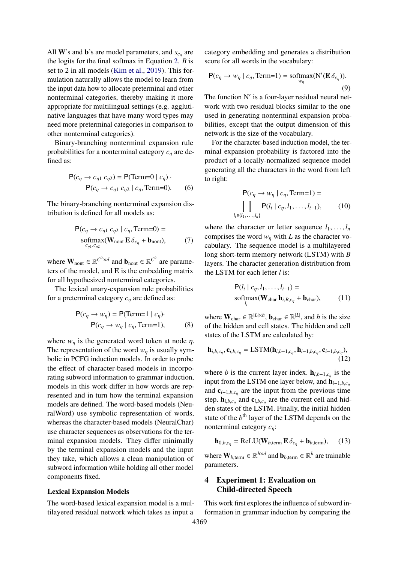All **W**'s and **b**'s are model parameters, and  $s_{c<sub>n</sub>}$  are<br>the last for the fixed seftman in Faustion 2,  $R$  is the logits for the final softmax in Equation [2.](#page-1-1) *B* is set to 2 in all models [\(Kim et al.,](#page-9-2) [2019\)](#page-9-2). This formulation naturally allows the model to learn from the input data how to allocate preterminal and other nonterminal categories, thereby making it more appropriate for multilingual settings (e.g. agglutinative languages that have many word types may need more preterminal categories in comparison to other nonterminal categories).

Binary-branching nonterminal expansion rule probabilities for a nonterminal category *<sup>c</sup>*η are defined as:

$$
P(c_{\eta} \to c_{\eta 1} c_{\eta 2}) = P(\text{Term}=0 | c_{\eta}) \cdot
$$

$$
P(c_{\eta} \to c_{\eta 1} c_{\eta 2} | c_{\eta}, \text{Term}=0). \tag{6}
$$

The binary-branching nonterminal expansion distribution is defined for all models as:

$$
P(c_{\eta} \to c_{\eta1} c_{\eta2} | c_{\eta}, \text{Term=0}) =
$$
  
softmax( $\mathbf{W}_{\text{nont}} \mathbf{E} \delta_{c_{\eta}} + \mathbf{b}_{\text{nont}}),$  (7)

where  $\mathbf{W}_{\text{nont}} \in \mathbb{R}^{C^2 \times d}$  and  $\mathbf{b}_{\text{nont}} \in \mathbb{R}^{C^2}$  are parameters of the model, and E is the embedding matrix for all hypothesized nonterminal categories.

The lexical unary-expansion rule probabilities for a preterminal category  $c_n$  are defined as:

$$
P(c_{\eta} \to w_{\eta}) = P(\text{Term}=1 \mid c_{\eta}) \cdot P(c_{\eta} \to w_{\eta} \mid c_{\eta}, \text{Term}=1), \tag{8}
$$

where  $w_n$  is the generated word token at node  $\eta$ . The representation of the word  $w_n$  is usually symbolic in PCFG induction models. In order to probe the effect of character-based models in incorporating subword information to grammar induction, models in this work differ in how words are represented and in turn how the terminal expansion models are defined. The word-based models (NeuralWord) use symbolic representation of words, whereas the character-based models (NeuralChar) use character sequences as observations for the terminal expansion models. They differ minimally by the terminal expansion models and the input they take, which allows a clean manipulation of subword information while holding all other model components fixed.

#### Lexical Expansion Models

The word-based lexical expansion model is a multilayered residual network which takes as input a

category embedding and generates a distribution score for all words in the vocabulary:

$$
P(c_{\eta} \to w_{\eta} \mid c_{\eta}, \text{Term}=1) = \text{softmax}(N'(E \, \delta_{c_{\eta}})).
$$
\n(9)

The function N' is a four-layer residual neural network with two residual blocks similar to the one used in generating nonterminal expansion probabilities, except that the output dimension of this network is the size of the vocabulary.

For the character-based induction model, the terminal expansion probability is factored into the product of a locally-normalized sequence model generating all the characters in the word from left to right:

$$
P(c_{\eta} \to w_{\eta} \mid c_{\eta}, \text{Term}=1) =
$$
  
\n
$$
\prod_{l_i \in \{l_1, \dots, l_n\}} P(l_i \mid c_{\eta}, l_1, \dots, l_{i-1}), \qquad (10)
$$

where the character or letter sequence  $l_1, \ldots, l_n$ comprises the word  $w_{\eta}$  with *L* as the character vocabulary. The sequence model is a multilayered long short-term memory network (LSTM) with *B* layers. The character generation distribution from the LSTM for each letter *l* is:

$$
P(l_i \mid c_{\eta}, l_1, \dots, l_{i-1}) =
$$
  
softmax( $\mathbf{W}_{char} \mathbf{h}_{i,B,c_{\eta}} + \mathbf{b}_{char}$ ), (11)

where  $\mathbf{W}_{char} \in \mathbb{R}^{|L| \times h}$ ,  $\mathbf{b}_{char} \in \mathbb{R}^{|L|}$ , and *h* is the size of the hidden and cell states. The hidden and cell states of the LSTM are calculated by:

$$
\mathbf{h}_{i,b,c_{\eta}}, \mathbf{c}_{i,b,c_{\eta}} = \text{LSTM}(\mathbf{h}_{i,b-1,c_{\eta}}, \mathbf{h}_{i-1,b,c_{\eta}}, \mathbf{c}_{i-1,b,c_{\eta}}),
$$
\n(12)

where *b* is the current layer index.  $\mathbf{h}_{i,b-1,c_{\eta}}$  is the input from the LSTM and layer helow and **h** input from the LSTM one layer below, and  $h_{i-1,b,c_n}$ and  $\mathbf{c}_{i-1,b,c_n}$  are the input from the previous time step.  $h_{i,b,c_\eta}$  and  $c_{i,b,c_\eta}$  are the current cell and hid-<br>dan etates of the LSTM. Finally, the initial hidden den states of the LSTM. Finally, the initial hidden state of the  $b<sup>th</sup>$  layer of the LSTM depends on the nonterminal category *<sup>c</sup>*η:

$$
\mathbf{h}_{0,b,c_{\eta}} = \text{ReLU}(\mathbf{W}_{b,\text{term}} \mathbf{E} \,\delta_{c_{\eta}} + \mathbf{b}_{b,\text{term}}), \quad (13)
$$

where  $\mathbf{W}_{b,\text{term}} \in \mathbb{R}^{h \times d}$  and  $\mathbf{b}_{b,\text{term}} \in \mathbb{R}^{h}$  are trainable parameters.

### 4 Experiment 1: Evaluation on Child-directed Speech

This work first explores the influence of subword information in grammar induction by comparing the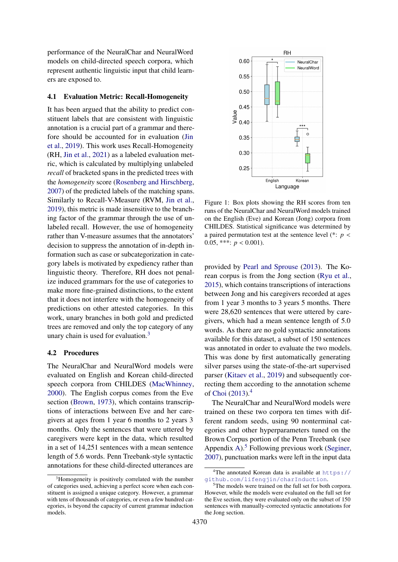performance of the NeuralChar and NeuralWord models on child-directed speech corpora, which represent authentic linguistic input that child learners are exposed to.

#### 4.1 Evaluation Metric: Recall-Homogeneity

It has been argued that the ability to predict constituent labels that are consistent with linguistic annotation is a crucial part of a grammar and therefore should be accounted for in evaluation [\(Jin](#page-9-8) [et al.,](#page-9-8) [2019\)](#page-9-8). This work uses Recall-Homogeneity (RH, [Jin et al.,](#page-9-14) [2021\)](#page-9-14) as a labeled evaluation metric, which is calculated by multiplying unlabeled *recall* of bracketed spans in the predicted trees with the *homogeneity* score [\(Rosenberg and Hirschberg,](#page-10-9) [2007\)](#page-10-9) of the predicted labels of the matching spans. Similarly to Recall-V-Measure (RVM, [Jin et al.,](#page-9-8) [2019\)](#page-9-8), this metric is made insensitive to the branching factor of the grammar through the use of unlabeled recall. However, the use of homogeneity rather than V-measure assumes that the annotators' decision to suppress the annotation of in-depth information such as case or subcategorization in category labels is motivated by expediency rather than linguistic theory. Therefore, RH does not penalize induced grammars for the use of categories to make more fine-grained distinctions, to the extent that it does not interfere with the homogeneity of predictions on other attested categories. In this work, unary branches in both gold and predicted trees are removed and only the top category of any unary chain is used for evaluation.[3](#page-3-0)

### <span id="page-3-4"></span>4.2 Procedures

The NeuralChar and NeuralWord models were evaluated on English and Korean child-directed speech corpora from CHILDES [\(MacWhinney,](#page-9-15) [2000\)](#page-9-15). The English corpus comes from the Eve section [\(Brown,](#page-8-10) [1973\)](#page-8-10), which contains transcriptions of interactions between Eve and her caregivers at ages from 1 year 6 months to 2 years 3 months. Only the sentences that were uttered by caregivers were kept in the data, which resulted in a set of 14,251 sentences with a mean sentence length of 5.6 words. Penn Treebank-style syntactic annotations for these child-directed utterances are

<span id="page-3-3"></span>

Figure 1: Box plots showing the RH scores from ten runs of the NeuralChar and NeuralWord models trained on the English (Eve) and Korean (Jong) corpora from CHILDES. Statistical significance was determined by a paired permutation test at the sentence level (\*: *<sup>p</sup>* < 0.05, \*\*\*:  $p < 0.001$ ).

provided by [Pearl and Sprouse](#page-9-16) [\(2013\)](#page-9-16). The Korean corpus is from the Jong section [\(Ryu et al.,](#page-10-10) [2015\)](#page-10-10), which contains transcriptions of interactions between Jong and his caregivers recorded at ages from 1 year 3 months to 3 years 5 months. There were 28,620 sentences that were uttered by caregivers, which had a mean sentence length of 5.0 words. As there are no gold syntactic annotations available for this dataset, a subset of 150 sentences was annotated in order to evaluate the two models. This was done by first automatically generating silver parses using the state-of-the-art supervised parser [\(Kitaev et al.,](#page-9-17) [2019\)](#page-9-17) and subsequently correcting them according to the annotation scheme of [Choi](#page-8-11) [\(2013\)](#page-8-11).[4](#page-3-1)

The NeuralChar and NeuralWord models were trained on these two corpora ten times with different random seeds, using 90 nonterminal categories and other hyperparameters tuned on the Brown Corpus portion of the Penn Treebank (see Appendix [A\)](#page-11-0).<sup>[5](#page-3-2)</sup> Following previous work [\(Seginer,](#page-10-4) [2007\)](#page-10-4), punctuation marks were left in the input data

<span id="page-3-0"></span><sup>&</sup>lt;sup>3</sup>Homogeneity is positively correlated with the number of categories used, achieving a perfect score when each constituent is assigned a unique category. However, a grammar with tens of thousands of categories, or even a few hundred categories, is beyond the capacity of current grammar induction models.

<span id="page-3-1"></span><sup>&</sup>lt;sup>4</sup>The annotated Korean data is available at [https://](https://github.com/lifengjin/charInduction) [github.com/lifengjin/charInduction](https://github.com/lifengjin/charInduction).

<span id="page-3-2"></span><sup>&</sup>lt;sup>5</sup>The models were trained on the full set for both corpora. However, while the models were evaluated on the full set for the Eve section, they were evaluated only on the subset of 150 sentences with manually-corrected syntactic annotations for the Jong section.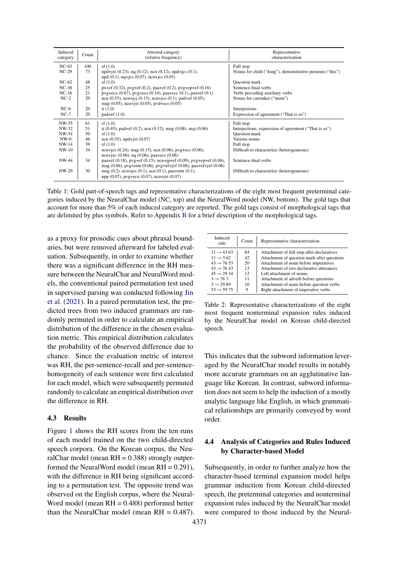<span id="page-4-0"></span>

| Induced<br>category | Count | Attested category<br>(relative frequency)                                     | Representative<br>characterization                       |
|---------------------|-------|-------------------------------------------------------------------------------|----------------------------------------------------------|
| $NC-63$             | 100   | sf(1.0)                                                                       | Full stop                                                |
| $NC-29$             | 73    | $npd+jxt$ (0.23), $nq$ (0.12), $ncn$ (0.12), $npd+jcs$ (0.1),                 | Nouns for child ("Jong"), demonstrative pronoun ("this") |
|                     |       | $npd(0.1)$ , $nq+ics(0.07)$ , $ncn+ics(0.05)$                                 |                                                          |
| $NC-62$             | 48    | sf(1.0)                                                                       | <b>Question mark</b>                                     |
| $NC-38$             | 25    | $px+ef(0.32)$ , $pyg+ef(0.2)$ , $paa+ef(0.2)$ , $pyg+ep+ef(0.16)$             | Sentence-final verbs                                     |
| $NC-16$             | 21    | $pyg + ecx (0.67)$ , $pyg + ecs (0.14)$ , paa $+ecc (0.1)$ , paa $+ef (0.1)$  | Verbs preceding auxiliary verbs                          |
| $NC-2$              | 20    | ncn (0.55), ncn+jcj (0.15), ncn+jcs (0.1), pad+ef (0.05),                     | Nouns for caretaker ("mom")                              |
|                     |       | mag $(0.05)$ , ncn+jxt $(0.05)$ , pvd+ecs $(0.05)$                            |                                                          |
| $NC-6$              | 20    | ii $(1.0)$                                                                    | Interjections                                            |
| $NC-7$              | 20    | $pad+ef(1.0)$                                                                 | Expression of agreement ("That is so")                   |
| NW-55               | 61    | sf(1.0)                                                                       | Full stop                                                |
| NW-32               | 51    | ii $(0.45)$ , pad+ef $(0.2)$ , ncn $(0.12)$ , mag $(0.08)$ , maj $(0.06)$     | Interjections, expression of agreement ("That is so")    |
| NW-54               | 50    | sf(1.0)                                                                       | <b>Question mark</b>                                     |
| $NW-0$              | 46    | ncn $(0.35)$ , npd+jxt $(0.07)$                                               | Various nouns                                            |
| $NW-14$             | 39    | sf(1.0)                                                                       | Full stop                                                |
| $NW-10$             | 34    | ncn+jcs $(0.24)$ , mag $(0.15)$ , ncn $(0.06)$ , pvg+ecs $(0.06)$ ,           | Difficult to characterize (heterogeneous)                |
|                     |       | ncn+jxc $(0.06)$ , nq $(0.06)$ , paa+ecs $(0.06)$                             |                                                          |
| NW-44               | 34    | paa+ef $(0.18)$ , pvg+ef $(0.15)$ , ncn+jp+ef $(0.09)$ , pvg+ep+ef $(0.06)$ , | Sentence-final verbs                                     |
|                     |       | mag $(0.06)$ , pvg+etm $(0.06)$ , pvg+ef+jxf $(0.06)$ , paa+ef+jxf $(0.06)$   |                                                          |
| NW-29               | 30    | mag $(0.2)$ , ncn+jcs $(0.1)$ , ncn $(0.1)$ , paa+etm $(0.1)$ ,               | Difficult to characterize (heterogeneous)                |
|                     |       | npp (0.07), pvg+ecx (0.07), ncn+jxt (0.07)                                    |                                                          |

Table 1: Gold part-of-speech tags and representative characterizations of the eight most frequent preterminal categories induced by the NeuralChar model (NC, top) and the NeuralWord model (NW, bottom). The gold tags that account for more than 5% of each induced category are reported. The gold tags consist of morphological tags that are delimited by plus symbols. Refer to Appendix [B](#page-11-1) for a brief description of the morphological tags.

as a proxy for prosodic cues about phrasal boundaries, but were removed afterward for labeled evaluation. Subsequently, in order to examine whether there was a significant difference in the RH measure between the NeuralChar and NeuralWord models, the conventional paired permutation test used in supervised parsing was conducted following [Jin](#page-9-14) [et al.](#page-9-14) [\(2021\)](#page-9-14). In a paired permutation test, the predicted trees from two induced grammars are randomly permuted in order to calculate an empirical distribution of the difference in the chosen evaluation metric. This empirical distribution calculates the probability of the observed difference due to chance. Since the evaluation metric of interest was RH, the per-sentence-recall and per-sentencehomogeneity of each sentence were first calculated for each model, which were subsequently permuted randomly to calculate an empirical distribution over the difference in RH.

#### 4.3 Results

Figure [1](#page-3-3) shows the RH scores from the ten runs of each model trained on the two child-directed speech corpora. On the Korean corpus, the NeuralChar model (mean  $RH = 0.388$ ) strongly outperformed the NeuralWord model (mean RH = 0.291), with the difference in RH being significant according to a permutation test. The opposite trend was observed on the English corpus, where the Neural-Word model (mean  $RH = 0.488$ ) performed better than the NeuralChar model (mean  $RH = 0.487$ ).

<span id="page-4-1"></span>

| Induced<br>rule        | Count | Representative characterization             |
|------------------------|-------|---------------------------------------------|
| $11 \rightarrow 43.63$ | 84    | Attachment of full stop after declaratives  |
| $11 \rightarrow 362$   | 42    | Attachment of question mark after questions |
| $43 \rightarrow 76.53$ | 20    | Attachment of noun before imperatives       |
| $43 \rightarrow 7643$  | 13    | Attachment of two declarative utterances    |
| $45 \rightarrow 2934$  | 12    | Left attachment of nouns                    |
| $3 \rightarrow 763$    | 11    | Attachment of adverb before questions       |
| $3 \rightarrow 2989$   | 10    | Attachment of noun before question verbs    |
| $53 \rightarrow 5975$  |       | Right attachment of imperative verbs        |

Table 2: Representative characterizations of the eight most frequent nonterminal expansion rules induced by the NeuralChar model on Korean child-directed speech.

This indicates that the subword information leveraged by the NeuralChar model results in notably more accurate grammars on an agglutinative language like Korean. In contrast, subword information does not seem to help the induction of a mostly analytic language like English, in which grammatical relationships are primarily conveyed by word order.

## 4.4 Analysis of Categories and Rules Induced by Character-based Model

Subsequently, in order to further analyze how the character-based terminal expansion model helps grammar induction from Korean child-directed speech, the preterminal categories and nonterminal expansion rules induced by the NeuralChar model were compared to those induced by the Neural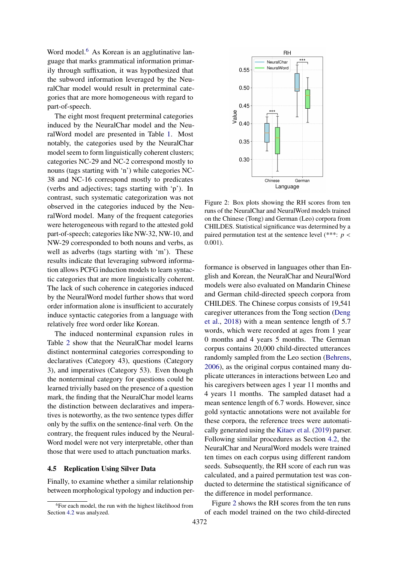Word model.<sup>[6](#page-5-0)</sup> As Korean is an agglutinative language that marks grammatical information primarily through suffixation, it was hypothesized that the subword information leveraged by the NeuralChar model would result in preterminal categories that are more homogeneous with regard to part-of-speech.

The eight most frequent preterminal categories induced by the NeuralChar model and the NeuralWord model are presented in Table [1.](#page-4-0) Most notably, the categories used by the NeuralChar model seem to form linguistically coherent clusters; categories NC-29 and NC-2 correspond mostly to nouns (tags starting with 'n') while categories NC-38 and NC-16 correspond mostly to predicates (verbs and adjectives; tags starting with 'p'). In contrast, such systematic categorization was not observed in the categories induced by the NeuralWord model. Many of the frequent categories were heterogeneous with regard to the attested gold part-of-speech; categories like NW-32, NW-10, and NW-29 corresponded to both nouns and verbs, as well as adverbs (tags starting with 'm'). These results indicate that leveraging subword information allows PCFG induction models to learn syntactic categories that are more linguistically coherent. The lack of such coherence in categories induced by the NeuralWord model further shows that word order information alone is insufficient to accurately induce syntactic categories from a language with relatively free word order like Korean.

The induced nonterminal expansion rules in Table [2](#page-4-1) show that the NeuralChar model learns distinct nonterminal categories corresponding to declaratives (Category 43), questions (Category 3), and imperatives (Category 53). Even though the nonterminal category for questions could be learned trivially based on the presence of a question mark, the finding that the NeuralChar model learns the distinction between declaratives and imperatives is noteworthy, as the two sentence types differ only by the suffix on the sentence-final verb. On the contrary, the frequent rules induced by the Neural-Word model were not very interpretable, other than those that were used to attach punctuation marks.

#### 4.5 Replication Using Silver Data

Finally, to examine whether a similar relationship between morphological typology and induction per-

<span id="page-5-1"></span>

Figure 2: Box plots showing the RH scores from ten runs of the NeuralChar and NeuralWord models trained on the Chinese (Tong) and German (Leo) corpora from CHILDES. Statistical significance was determined by a paired permutation test at the sentence level (\*\*\*: *<sup>p</sup>* < <sup>0</sup>.001).

formance is observed in languages other than English and Korean, the NeuralChar and NeuralWord models were also evaluated on Mandarin Chinese and German child-directed speech corpora from CHILDES. The Chinese corpus consists of 19,541 caregiver utterances from the Tong section [\(Deng](#page-8-12) [et al.,](#page-8-12) [2018\)](#page-8-12) with a mean sentence length of 5.7 words, which were recorded at ages from 1 year 0 months and 4 years 5 months. The German corpus contains 20,000 child-directed utterances randomly sampled from the Leo section [\(Behrens,](#page-8-13) [2006\)](#page-8-13), as the original corpus contained many duplicate utterances in interactions between Leo and his caregivers between ages 1 year 11 months and 4 years 11 months. The sampled dataset had a mean sentence length of 6.7 words. However, since gold syntactic annotations were not available for these corpora, the reference trees were automatically generated using the [Kitaev et al.](#page-9-17) [\(2019\)](#page-9-17) parser. Following similar procedures as Section [4.2,](#page-3-4) the NeuralChar and NeuralWord models were trained ten times on each corpus using different random seeds. Subsequently, the RH score of each run was calculated, and a paired permutation test was conducted to determine the statistical significance of the difference in model performance.

Figure [2](#page-5-1) shows the RH scores from the ten runs of each model trained on the two child-directed

<span id="page-5-0"></span><sup>6</sup>For each model, the run with the highest likelihood from Section [4.2](#page-3-4) was analyzed.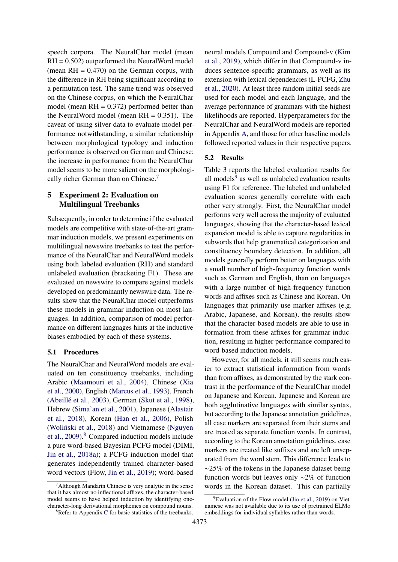speech corpora. The NeuralChar model (mean RH = 0.502) outperformed the NeuralWord model (mean  $RH = 0.470$ ) on the German corpus, with the difference in RH being significant according to a permutation test. The same trend was observed on the Chinese corpus, on which the NeuralChar model (mean  $RH = 0.372$ ) performed better than the NeuralWord model (mean  $RH = 0.351$ ). The caveat of using silver data to evaluate model performance notwithstanding, a similar relationship between morphological typology and induction performance is observed on German and Chinese; the increase in performance from the NeuralChar model seems to be more salient on the morphologi-cally richer German than on Chinese.<sup>[7](#page-6-0)</sup>

## 5 Experiment 2: Evaluation on Multilingual Treebanks

Subsequently, in order to determine if the evaluated models are competitive with state-of-the-art grammar induction models, we present experiments on multilingual newswire treebanks to test the performance of the NeuralChar and NeuralWord models using both labeled evaluation (RH) and standard unlabeled evaluation (bracketing F1). These are evaluated on newswire to compare against models developed on predominantly newswire data. The results show that the NeuralChar model outperforms these models in grammar induction on most languages. In addition, comparison of model performance on different languages hints at the inductive biases embodied by each of these systems.

## 5.1 Procedures

The NeuralChar and NeuralWord models are evaluated on ten constituency treebanks, including Arabic [\(Maamouri et al.,](#page-9-18) [2004\)](#page-9-18), Chinese [\(Xia](#page-10-11) [et al.,](#page-10-11) [2000\)](#page-10-11), English [\(Marcus et al.,](#page-9-19) [1993\)](#page-9-19), French (Abeillé et al., [2003\)](#page-8-14), German [\(Skut et al.,](#page-10-12) [1998\)](#page-10-12), Hebrew [\(Sima'an et al.,](#page-10-13) [2001\)](#page-10-13), Japanese [\(Alastair](#page-8-15) [et al.,](#page-8-15) [2018\)](#page-8-15), Korean [\(Han et al.,](#page-8-16) [2006\)](#page-8-16), Polish (Woliński et al., [2018\)](#page-10-14) and Vietnamese [\(Nguyen](#page-9-20) [et al.,](#page-9-20) [2009\)](#page-9-20).<sup>[8](#page-6-1)</sup> Compared induction models include a pure word-based Bayesian PCFG model (DIMI, [Jin et al.,](#page-9-7) [2018a\)](#page-9-7); a PCFG induction model that generates independently trained character-based word vectors (Flow, [Jin et al.,](#page-9-8) [2019\)](#page-9-8); word-based

neural models Compound and Compound-v [\(Kim](#page-9-2) [et al.,](#page-9-2) [2019\)](#page-9-2), which differ in that Compound-v induces sentence-specific grammars, as well as its extension with lexical dependencies (L-PCFG, [Zhu](#page-10-0) [et al.,](#page-10-0) [2020\)](#page-10-0). At least three random initial seeds are used for each model and each language, and the average performance of grammars with the highest likelihoods are reported. Hyperparameters for the NeuralChar and NeuralWord models are reported in Appendix [A,](#page-11-0) and those for other baseline models followed reported values in their respective papers.

### 5.2 Results

Table [3](#page-7-0) reports the labeled evaluation results for all models $9$  as well as unlabeled evaluation results using F1 for reference. The labeled and unlabeled evaluation scores generally correlate with each other very strongly. First, the NeuralChar model performs very well across the majority of evaluated languages, showing that the character-based lexical expansion model is able to capture regularities in subwords that help grammatical categorization and constituency boundary detection. In addition, all models generally perform better on languages with a small number of high-frequency function words such as German and English, than on languages with a large number of high-frequency function words and affixes such as Chinese and Korean. On languages that primarily use marker affixes (e.g. Arabic, Japanese, and Korean), the results show that the character-based models are able to use information from these affixes for grammar induction, resulting in higher performance compared to word-based induction models.

However, for all models, it still seems much easier to extract statistical information from words than from affixes, as demonstrated by the stark contrast in the performance of the NeuralChar model on Japanese and Korean. Japanese and Korean are both agglutinative languages with similar syntax, but according to the Japanese annotation guidelines, all case markers are separated from their stems and are treated as separate function words. In contrast, according to the Korean annotation guidelines, case markers are treated like suffixes and are left unseparated from the word stem. This difference leads to ∼25% of the tokens in the Japanese dataset being function words but leaves only ∼2% of function words in the Korean dataset. This can partially

<span id="page-6-0"></span><sup>7</sup>Although Mandarin Chinese is very analytic in the sense that it has almost no inflectional affixes, the character-based model seems to have helped induction by identifying onecharacter-long derivational morphemes on compound nouns.

<span id="page-6-1"></span> ${}^{8}$ Refer to Appendix [C](#page-11-2) for basic statistics of the treebanks.

<span id="page-6-2"></span><sup>9</sup>Evaluation of the Flow model [\(Jin et al.,](#page-9-8) [2019\)](#page-9-8) on Vietnamese was not available due to its use of pretrained ELMo embeddings for individual syllables rather than words.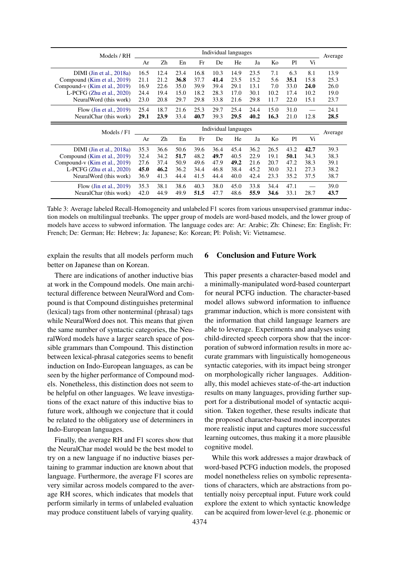<span id="page-7-0"></span>

| Models / RH                   | Individual languages |      |      |      |      |                      |      |      |                | Average |         |
|-------------------------------|----------------------|------|------|------|------|----------------------|------|------|----------------|---------|---------|
|                               | Ar                   | Zh   | En   | Fr   | De   | He                   | Ja   | Ko   | Pl             | Vi      |         |
| $DIMI$ (Jin et al., 2018a)    | 16.5                 | 12.4 | 23.4 | 16.8 | 10.3 | 14.9                 | 23.5 | 7.1  | 6.3            | 8.1     | 13.9    |
| Compound (Kim et al., 2019)   | 21.1                 | 21.2 | 36.8 | 37.7 | 41.4 | 23.5                 | 15.2 | 5.6  | 35.1           | 15.8    | 25.3    |
| Compound-v (Kim et al., 2019) | 16.9                 | 22.6 | 35.0 | 39.9 | 39.4 | 29.1                 | 13.1 | 7.0  | 33.0           | 24.0    | 26.0    |
| L-PCFG $(Zhu et al., 2020)$   | 24.4                 | 19.4 | 15.0 | 18.2 | 28.3 | 17.0                 | 30.1 | 10.2 | 17.4           | 10.2    | 19.0    |
| NeuralWord (this work)        | 23.0                 | 20.8 | 29.7 | 29.8 | 33.8 | 21.6                 | 29.8 | 11.7 | 22.0           | 15.1    | 23.7    |
| Flow $(Jin et al., 2019)$     | 25.4                 | 18.7 | 21.6 | 25.3 | 29.7 | 25.4                 | 24.4 | 15.0 | 31.0           |         | 24.1    |
| NeuralChar (this work)        | 29.1                 | 23.9 | 33.4 | 40.7 | 39.3 | 29.5                 | 40.2 | 16.3 | 21.0           | 12.8    | 28.5    |
|                               |                      |      |      |      |      |                      |      |      |                |         |         |
|                               |                      |      |      |      |      | Individual languages |      |      |                |         |         |
| Models / F1                   | Ar                   | Zh   | En   | Fr   | De   | He                   | Ja   | Ko   | P <sub>1</sub> | Vi      | Average |
| $DIMI$ (Jin et al., 2018a)    | 35.3                 | 36.6 | 50.6 | 39.6 | 36.4 | 45.4                 | 36.2 | 26.5 | 43.2           | 42.7    | 39.3    |
| Compound (Kim et al., 2019)   | 32.4                 | 34.2 | 51.7 | 48.2 | 49.7 | 40.5                 | 22.9 | 19.1 | 50.1           | 34.3    | 38.3    |
| Compound-v (Kim et al., 2019) | 27.6                 | 37.4 | 50.9 | 49.6 | 47.9 | 49.2                 | 21.6 | 20.7 | 47.2           | 38.3    | 39.1    |
| L-PCFG $(Zhu et al., 2020)$   | 45.0                 | 46.2 | 36.2 | 34.4 | 46.8 | 38.4                 | 45.2 | 30.0 | 32.1           | 27.3    | 38.2    |
| NeuralWord (this work)        | 36.9                 | 41.3 | 44.4 | 41.5 | 44.4 | 40.0                 | 42.4 | 23.3 | 35.2           | 37.5    | 38.7    |
| Flow $(Jin et al., 2019)$     | 35.3                 | 38.1 | 38.6 | 40.3 | 38.0 | 45.0                 | 33.8 | 34.4 | 47.1           |         | 39.0    |

Table 3: Average labeled Recall-Homogeneity and unlabeled F1 scores from various unsupervised grammar induction models on multilingual treebanks. The upper group of models are word-based models, and the lower group of models have access to subword information. The language codes are: Ar: Arabic; Zh: Chinese; En: English; Fr: French; De: German; He: Hebrew; Ja: Japanese; Ko: Korean; Pl: Polish; Vi: Vietnamese.

explain the results that all models perform much better on Japanese than on Korean.

There are indications of another inductive bias at work in the Compound models. One main architectural difference between NeuralWord and Compound is that Compound distinguishes preterminal (lexical) tags from other nonterminal (phrasal) tags while NeuralWord does not. This means that given the same number of syntactic categories, the NeuralWord models have a larger search space of possible grammars than Compound. This distinction between lexical-phrasal categories seems to benefit induction on Indo-European languages, as can be seen by the higher performance of Compound models. Nonetheless, this distinction does not seem to be helpful on other languages. We leave investigations of the exact nature of this inductive bias to future work, although we conjecture that it could be related to the obligatory use of determiners in Indo-European languages.

Finally, the average RH and F1 scores show that the NeuralChar model would be the best model to try on a new language if no inductive biases pertaining to grammar induction are known about that language. Furthermore, the average F1 scores are very similar across models compared to the average RH scores, which indicates that models that perform similarly in terms of unlabeled evaluation may produce constituent labels of varying quality.

### 6 Conclusion and Future Work

This paper presents a character-based model and a minimally-manipulated word-based counterpart for neural PCFG induction. The character-based model allows subword information to influence grammar induction, which is more consistent with the information that child language learners are able to leverage. Experiments and analyses using child-directed speech corpora show that the incorporation of subword information results in more accurate grammars with linguistically homogeneous syntactic categories, with its impact being stronger on morphologically richer languages. Additionally, this model achieves state-of-the-art induction results on many languages, providing further support for a distributional model of syntactic acquisition. Taken together, these results indicate that the proposed character-based model incorporates more realistic input and captures more successful learning outcomes, thus making it a more plausible cognitive model.

While this work addresses a major drawback of word-based PCFG induction models, the proposed model nonetheless relies on symbolic representations of characters, which are abstractions from potentially noisy perceptual input. Future work could explore the extent to which syntactic knowledge can be acquired from lower-level (e.g. phonemic or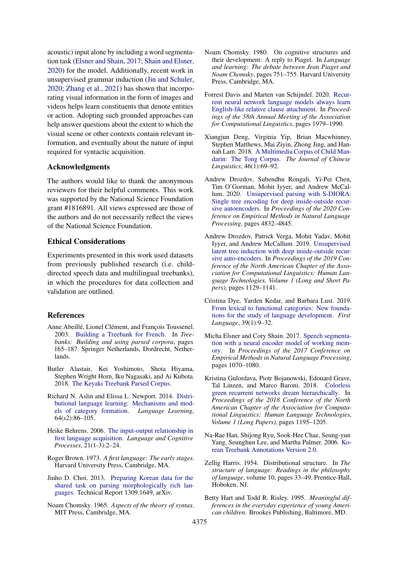acoustic) input alone by including a word segmentation task [\(Elsner and Shain,](#page-8-17) [2017;](#page-8-17) [Shain and Elsner,](#page-10-15) [2020\)](#page-10-15) for the model. Additionally, recent work in unsupervised grammar induction [\(Jin and Schuler,](#page-9-9) [2020;](#page-9-9) [Zhang et al.,](#page-10-16) [2021\)](#page-10-16) has shown that incorporating visual information in the form of images and videos helps learn constituents that denote entities or action. Adopting such grounded approaches can help answer questions about the extent to which the visual scene or other contexts contain relevant information, and eventually about the nature of input required for syntactic acquisition.

### Acknowledgments

The authors would like to thank the anonymous reviewers for their helpful comments. This work was supported by the National Science Foundation grant #1816891. All views expressed are those of the authors and do not necessarily reflect the views of the National Science Foundation.

#### Ethical Considerations

Experiments presented in this work used datasets from previously published research (i.e. childdirected speech data and multilingual treebanks), in which the procedures for data collection and validation are outlined.

#### References

- <span id="page-8-14"></span>Anne Abeillé, Lionel Clément, and François Toussenel. 2003. [Building a Treebank for French.](https://doi.org/10.1007/978-94-010-0201-1_10) In *Treebanks: Building and using parsed corpora*, pages 165–187. Springer Netherlands, Dordrecht, Netherlands.
- <span id="page-8-15"></span>Butler Alastair, Kei Yoshimoto, Shota Hiyama, Stephen Wright Horn, Iku Nagasaki, and Ai Kubota. 2018. [The Keyaki Treebank Parsed Corpus.](http://www.compling.jp/keyaki/)
- <span id="page-8-1"></span>Richard N. Aslin and Elissa L. Newport. 2014. [Distri](https://doi.org/10.1111/lang.12074)[butional language learning: Mechanisms and mod](https://doi.org/10.1111/lang.12074)[els of category formation.](https://doi.org/10.1111/lang.12074) *Language Learning*, 64(s2):86–105.
- <span id="page-8-13"></span>Heike Behrens. 2006. [The input-output relationship in](https://doi.org/10.1080/01690960400001721) [first language acquisition.](https://doi.org/10.1080/01690960400001721) *Language and Cognitive Processes*, 21(1-3):2–24.
- <span id="page-8-10"></span>Roger Brown. 1973. *A first language: The early stages*. Harvard University Press, Cambridge, MA.
- <span id="page-8-11"></span>Jinho D. Choi. 2013. [Preparing Korean data for the](http://arxiv.org/abs/1309.1649) [shared task on parsing morphologically rich lan](http://arxiv.org/abs/1309.1649)[guages.](http://arxiv.org/abs/1309.1649) Technical Report 1309.1649, arXiv.
- <span id="page-8-2"></span>Noam Chomsky. 1965. *Aspects of the theory of syntax*. MIT Press, Cambridge, MA.
- <span id="page-8-3"></span>Noam Chomsky. 1980. On cognitive structures and their development: A reply to Piaget. In *Language and learning: The debate between Jean Piaget and Noam Chomsky*, pages 751–755. Harvard University Press, Cambridge, MA.
- <span id="page-8-8"></span>Forrest Davis and Marten van Schijndel. 2020. [Recur](https://www.aclweb.org/anthology/2020.acl-main.179)[rent neural network language models always learn](https://www.aclweb.org/anthology/2020.acl-main.179) [English-like relative clause attachment.](https://www.aclweb.org/anthology/2020.acl-main.179) In *Proceedings of the 58th Annual Meeting of the Association for Computational Linguistics*, pages 1979–1990.
- <span id="page-8-12"></span>Xiangjun Deng, Virginia Yip, Brian Macwhinney, Stephen Matthews, Mai Ziyin, Zhong Jing, and Hannah Lam. 2018. [A Multimedia Corpus of Child Man](https://doi.org/10.1353/jcl.2018.0002)[darin: The Tong Corpus.](https://doi.org/10.1353/jcl.2018.0002) *The Journal of Chinese Linguistics*, 46(1):69–92.
- <span id="page-8-6"></span>Andrew Drozdov, Subendhu Rongali, Yi-Pei Chen, Tim O'Gorman, Mohit Iyyer, and Andrew McCallum. 2020. [Unsupervised parsing with S-DIORA:](https://doi.org/10.18653/v1/2020.emnlp-main.392) [Single tree encoding for deep inside-outside recur](https://doi.org/10.18653/v1/2020.emnlp-main.392)[sive autoencoders.](https://doi.org/10.18653/v1/2020.emnlp-main.392) In *Proceedings of the 2020 Conference on Empirical Methods in Natural Language Processing*, pages 4832–4845.
- <span id="page-8-5"></span>Andrew Drozdov, Patrick Verga, Mohit Yadav, Mohit Iyyer, and Andrew McCallum. 2019. [Unsupervised](https://www.aclweb.org/anthology/N19-1116) [latent tree induction with deep inside-outside recur](https://www.aclweb.org/anthology/N19-1116)[sive auto-encoders.](https://www.aclweb.org/anthology/N19-1116) In *Proceedings of the 2019 Conference of the North American Chapter of the Association for Computational Linguistics: Human Language Technologies, Volume 1 (Long and Short Papers)*, pages 1129–1141.
- <span id="page-8-4"></span>Cristina Dye, Yarden Kedar, and Barbara Lust. 2019. [From lexical to functional categories: New founda](https://doi.org/10.1177/0142723718809175)[tions for the study of language development.](https://doi.org/10.1177/0142723718809175) *First Language*, 39(1):9–32.
- <span id="page-8-17"></span>Micha Elsner and Cory Shain. 2017. [Speech segmenta](https://www.aclweb.org/anthology/D17-1112)[tion with a neural encoder model of working mem](https://www.aclweb.org/anthology/D17-1112)[ory.](https://www.aclweb.org/anthology/D17-1112) In *Proceedings of the 2017 Conference on Empirical Methods in Natural Language Processing*, pages 1070–1080.
- <span id="page-8-7"></span>Kristina Gulordava, Piotr Bojanowski, Edouard Grave, Tal Linzen, and Marco Baroni. 2018. [Colorless](https://aclanthology.org/N18-1108) [green recurrent networks dream hierarchically.](https://aclanthology.org/N18-1108) In *Proceedings of the 2018 Conference of the North American Chapter of the Association for Computational Linguistics: Human Language Technologies, Volume 1 (Long Papers)*, pages 1195–1205.
- <span id="page-8-16"></span>Na-Rae Han, Shijong Ryu, Sook-Hee Chae, Seung-yun Yang, Seunghun Lee, and Martha Palmer. 2006. [Ko](https://doi.org/10.35111/02nk-p662)[rean Treebank Annotations Version 2.0.](https://doi.org/10.35111/02nk-p662)
- <span id="page-8-0"></span>Zellig Harris. 1954. Distributional structure. In *The structure of language: Readings in the philosophy of language*, volume 10, pages 33–49. Prentice-Hall, Hoboken, NJ.
- <span id="page-8-9"></span>Betty Hart and Todd R. Risley. 1995. *Meaningful differences in the everyday experience of young American children*. Brookes Publishing, Baltimore, MD.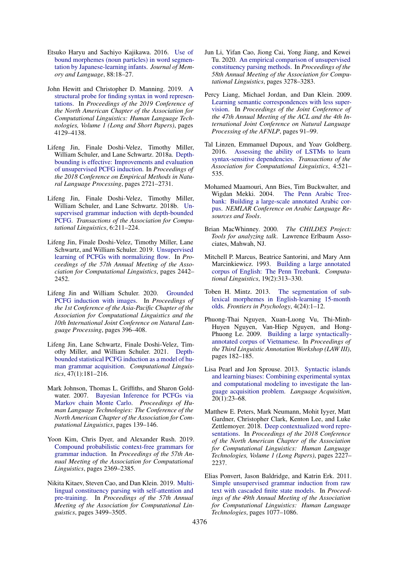- <span id="page-9-4"></span>Etsuko Haryu and Sachiyo Kajikawa. 2016. [Use of](https://doi.org/https://doi.org/10.1016/j.jml.2015.11.007) [bound morphemes \(noun particles\) in word segmen](https://doi.org/https://doi.org/10.1016/j.jml.2015.11.007)[tation by Japanese-learning infants.](https://doi.org/https://doi.org/10.1016/j.jml.2015.11.007) *Journal of Memory and Language*, 88:18–27.
- <span id="page-9-13"></span>John Hewitt and Christopher D. Manning. 2019. [A](https://www.aclweb.org/anthology/N19-1419) [structural probe for finding syntax in word represen](https://www.aclweb.org/anthology/N19-1419)[tations.](https://www.aclweb.org/anthology/N19-1419) In *Proceedings of the 2019 Conference of the North American Chapter of the Association for Computational Linguistics: Human Language Technologies, Volume 1 (Long and Short Papers)*, pages 4129–4138.
- <span id="page-9-7"></span>Lifeng Jin, Finale Doshi-Velez, Timothy Miller, William Schuler, and Lane Schwartz. 2018a. [Depth](https://aclanthology.org/D18-1292)[bounding is effective: Improvements and evaluation](https://aclanthology.org/D18-1292) [of unsupervised PCFG induction.](https://aclanthology.org/D18-1292) In *Proceedings of the 2018 Conference on Empirical Methods in Natural Language Processing*, pages 2721–2731.
- <span id="page-9-1"></span>Lifeng Jin, Finale Doshi-Velez, Timothy Miller, William Schuler, and Lane Schwartz. 2018b. [Un](https://aclanthology.org/Q18-1016)[supervised grammar induction with depth-bounded](https://aclanthology.org/Q18-1016) [PCFG.](https://aclanthology.org/Q18-1016) *Transactions of the Association for Computational Linguistics*, 6:211–224.
- <span id="page-9-8"></span>Lifeng Jin, Finale Doshi-Velez, Timothy Miller, Lane Schwartz, and William Schuler. 2019. [Unsupervised](https://aclanthology.org/P19-1234) [learning of PCFGs with normalizing flow.](https://aclanthology.org/P19-1234) In *Proceedings of the 57th Annual Meeting of the Association for Computational Linguistics*, pages 2442– 2452.
- <span id="page-9-9"></span>Lifeng Jin and William Schuler. 2020. [Grounded](https://www.aclweb.org/anthology/2020.aacl-main.42) [PCFG induction with images.](https://www.aclweb.org/anthology/2020.aacl-main.42) In *Proceedings of the 1st Conference of the Asia-Pacific Chapter of the Association for Computational Linguistics and the 10th International Joint Conference on Natural Language Processing*, pages 396–408.
- <span id="page-9-14"></span>Lifeng Jin, Lane Schwartz, Finale Doshi-Velez, Timothy Miller, and William Schuler. 2021. [Depth](https://doi.org/10.1162/coli_a_00399)[bounded statistical PCFG induction as a model of hu](https://doi.org/10.1162/coli_a_00399)[man grammar acquisition.](https://doi.org/10.1162/coli_a_00399) *Computational Linguistics*, 47(1):181–216.
- <span id="page-9-0"></span>Mark Johnson, Thomas L. Griffiths, and Sharon Goldwater. 2007. [Bayesian Inference for PCFGs via](http://homepages.inf.ed.ac.uk/sgwater/papers/naacl07-mcmc-pcfg.pdf) [Markov chain Monte Carlo.](http://homepages.inf.ed.ac.uk/sgwater/papers/naacl07-mcmc-pcfg.pdf) *Proceedings of Human Language Technologies: The Conference of the North American Chapter of the Association for Computational Linguistics*, pages 139–146.
- <span id="page-9-2"></span>Yoon Kim, Chris Dyer, and Alexander Rush. 2019. [Compound probabilistic context-free grammars for](https://doi.org/10.18653/v1/P19-1228) [grammar induction.](https://doi.org/10.18653/v1/P19-1228) In *Proceedings of the 57th Annual Meeting of the Association for Computational Linguistics*, pages 2369–2385.
- <span id="page-9-17"></span>Nikita Kitaev, Steven Cao, and Dan Klein. 2019. [Multi](https://www.aclweb.org/anthology/P19-1340)[lingual constituency parsing with self-attention and](https://www.aclweb.org/anthology/P19-1340) [pre-training.](https://www.aclweb.org/anthology/P19-1340) In *Proceedings of the 57th Annual Meeting of the Association for Computational Linguistics*, pages 3499–3505.
- <span id="page-9-10"></span>Jun Li, Yifan Cao, Jiong Cai, Yong Jiang, and Kewei Tu. 2020. [An empirical comparison of unsupervised](https://aclanthology.org/2020.acl-main.300) [constituency parsing methods.](https://aclanthology.org/2020.acl-main.300) In *Proceedings of the 58th Annual Meeting of the Association for Computational Linguistics*, pages 3278–3283.
- <span id="page-9-5"></span>Percy Liang, Michael Jordan, and Dan Klein. 2009. [Learning semantic correspondences with less super](https://aclanthology.org/P09-1011)[vision.](https://aclanthology.org/P09-1011) In *Proceedings of the Joint Conference of the 47th Annual Meeting of the ACL and the 4th International Joint Conference on Natural Language Processing of the AFNLP*, pages 91–99.
- <span id="page-9-12"></span>Tal Linzen, Emmanuel Dupoux, and Yoav Goldberg. 2016. [Assessing the ability of LSTMs to learn](https://www.aclweb.org/anthology/Q16-1037) [syntax-sensitive dependencies.](https://www.aclweb.org/anthology/Q16-1037) *Transactions of the Association for Computational Linguistics*, 4:521– 535.
- <span id="page-9-18"></span>Mohamed Maamouri, Ann Bies, Tim Buckwalter, and Wigdan Mekki. 2004. [The Penn Arabic Tree](https://dl.acm.org/doi/pdf/10.5555/1621804.1621808)[bank: Building a large-scale annotated Arabic cor](https://dl.acm.org/doi/pdf/10.5555/1621804.1621808)[pus.](https://dl.acm.org/doi/pdf/10.5555/1621804.1621808) *NEMLAR Conference on Arabic Language Resources and Tools*.
- <span id="page-9-15"></span>Brian MacWhinney. 2000. *The CHILDES Project: Tools for analyzing talk*. Lawrence Erlbaum Associates, Mahwah, NJ.
- <span id="page-9-19"></span>Mitchell P. Marcus, Beatrice Santorini, and Mary Ann Marcinkiewicz. 1993. [Building a large annotated](http://dl.acm.org/citation.cfm?id=972470.972475) [corpus of English: The Penn Treebank.](http://dl.acm.org/citation.cfm?id=972470.972475) *Computational Linguistics*, 19(2):313–330.
- <span id="page-9-3"></span>Toben H. Mintz. 2013. [The segmentation of sub](https://doi.org/https://doi.org/10.3389/fpsyg.2013.00024)[lexical morphemes in English-learning 15-month](https://doi.org/https://doi.org/10.3389/fpsyg.2013.00024) [olds.](https://doi.org/https://doi.org/10.3389/fpsyg.2013.00024) *Frontiers in Psychology*, 4(24):1–12.
- <span id="page-9-20"></span>Phuong-Thai Nguyen, Xuan-Luong Vu, Thi-Minh-Huyen Nguyen, Van-Hiep Nguyen, and Hong-Phuong Le. 2009. [Building a large syntactically](https://www.aclweb.org/anthology/W09-3035)[annotated corpus of Vietnamese.](https://www.aclweb.org/anthology/W09-3035) In *Proceedings of the Third Linguistic Annotation Workshop (LAW III)*, pages 182–185.
- <span id="page-9-16"></span>Lisa Pearl and Jon Sprouse. 2013. [Syntactic islands](https://doi.org/10.1080/10489223.2012.738742) [and learning biases: Combining experimental syntax](https://doi.org/10.1080/10489223.2012.738742) [and computational modeling to investigate the lan](https://doi.org/10.1080/10489223.2012.738742)[guage acquisition problem.](https://doi.org/10.1080/10489223.2012.738742) *Language Acquisition*, 20(1):23–68.
- <span id="page-9-11"></span>Matthew E. Peters, Mark Neumann, Mohit Iyyer, Matt Gardner, Christopher Clark, Kenton Lee, and Luke Zettlemoyer. 2018. [Deep contextualized word repre](https://aclanthology.org/N18-1202)[sentations.](https://aclanthology.org/N18-1202) In *Proceedings of the 2018 Conference of the North American Chapter of the Association for Computational Linguistics: Human Language Technologies, Volume 1 (Long Papers)*, pages 2227– 2237.
- <span id="page-9-6"></span>Elias Ponvert, Jason Baldridge, and Katrin Erk. 2011. [Simple unsupervised grammar induction from raw](https://aclanthology.org/P11-1108) [text with cascaded finite state models.](https://aclanthology.org/P11-1108) In *Proceedings of the 49th Annual Meeting of the Association for Computational Linguistics: Human Language Technologies*, pages 1077–1086.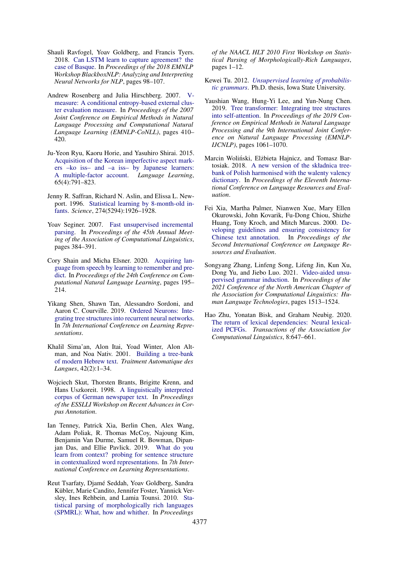- <span id="page-10-7"></span>Shauli Ravfogel, Yoav Goldberg, and Francis Tyers. 2018. [Can LSTM learn to capture agreement? the](https://www.aclweb.org/anthology/W18-5412) [case of Basque.](https://www.aclweb.org/anthology/W18-5412) In *Proceedings of the 2018 EMNLP Workshop BlackboxNLP: Analyzing and Interpreting Neural Networks for NLP*, pages 98–107.
- <span id="page-10-9"></span>Andrew Rosenberg and Julia Hirschberg. 2007. [V](https://aclanthology.org/D07-1043)[measure: A conditional entropy-based external clus](https://aclanthology.org/D07-1043)[ter evaluation measure.](https://aclanthology.org/D07-1043) In *Proceedings of the 2007 Joint Conference on Empirical Methods in Natural Language Processing and Computational Natural Language Learning (EMNLP-CoNLL)*, pages 410– 420.
- <span id="page-10-10"></span>Ju-Yeon Ryu, Kaoru Horie, and Yasuhiro Shirai. 2015. [Acquisition of the Korean imperfective aspect mark](https://doi.org/10.1111/lang.12132)[ers –ko iss– and –a iss– by Japanese learners:](https://doi.org/10.1111/lang.12132) [A multiple-factor account.](https://doi.org/10.1111/lang.12132) *Language Learning*, 65(4):791–823.
- <span id="page-10-1"></span>Jenny R. Saffran, Richard N. Aslin, and Elissa L. Newport. 1996. [Statistical learning by 8-month-old in](https://doi.org/10.1126/science.274.5294.1926)[fants.](https://doi.org/10.1126/science.274.5294.1926) *Science*, 274(5294):1926–1928.
- <span id="page-10-4"></span>Yoav Seginer. 2007. [Fast unsupervised incremental](https://aclanthology.org/P07-1049) [parsing.](https://aclanthology.org/P07-1049) In *Proceedings of the 45th Annual Meeting of the Association of Computational Linguistics*, pages 384–391.
- <span id="page-10-15"></span>Cory Shain and Micha Elsner. 2020. [Acquiring lan](https://www.aclweb.org/anthology/2020.conll-1.15)[guage from speech by learning to remember and pre](https://www.aclweb.org/anthology/2020.conll-1.15)[dict.](https://www.aclweb.org/anthology/2020.conll-1.15) In *Proceedings of the 24th Conference on Computational Natural Language Learning*, pages 195– 214.
- <span id="page-10-5"></span>Yikang Shen, Shawn Tan, Alessandro Sordoni, and Aaron C. Courville. 2019. [Ordered Neurons: Inte](https://openreview.net/forum?id=B1l6qiR5F7)[grating tree structures into recurrent neural networks.](https://openreview.net/forum?id=B1l6qiR5F7) In *7th International Conference on Learning Representations*.
- <span id="page-10-13"></span>Khalil Sima'an, Alon Itai, Yoad Winter, Alon Altman, and Noa Nativ. 2001. [Building a tree-bank](https://citeseerx.ist.psu.edu/viewdoc/download?doi=10.1.1.74.5385&rep=rep1&type=pdf) [of modern Hebrew text.](https://citeseerx.ist.psu.edu/viewdoc/download?doi=10.1.1.74.5385&rep=rep1&type=pdf) *Traitment Automatique des Langues*, 42(2):1–34.
- <span id="page-10-12"></span>Wojciech Skut, Thorsten Brants, Brigitte Krenn, and Hans Uszkoreit. 1998. [A linguistically interpreted](http://arxiv.org/abs/cmp-lg/9807008) [corpus of German newspaper text.](http://arxiv.org/abs/cmp-lg/9807008) In *Proceedings of the ESSLLI Workshop on Recent Advances in Corpus Annotation*.
- <span id="page-10-8"></span>Ian Tenney, Patrick Xia, Berlin Chen, Alex Wang, Adam Poliak, R. Thomas McCoy, Najoung Kim, Benjamin Van Durme, Samuel R. Bowman, Dipanjan Das, and Ellie Pavlick. 2019. [What do you](https://openreview.net/forum?id=SJzSgnRcKX) [learn from context? probing for sentence structure](https://openreview.net/forum?id=SJzSgnRcKX) [in contextualized word representations.](https://openreview.net/forum?id=SJzSgnRcKX) In *7th International Conference on Learning Representations*.
- <span id="page-10-2"></span>Reut Tsarfaty, Djame Seddah, Yoav Goldberg, Sandra ´ Kübler, Marie Candito, Jennifer Foster, Yannick Versley, Ines Rehbein, and Lamia Tounsi. 2010. [Sta](https://aclanthology.org/W10-1401)[tistical parsing of morphologically rich languages](https://aclanthology.org/W10-1401) [\(SPMRL\): What, how and whither.](https://aclanthology.org/W10-1401) In *Proceedings*

*of the NAACL HLT 2010 First Workshop on Statistical Parsing of Morphologically-Rich Languages*, pages 1–12.

- <span id="page-10-3"></span>Kewei Tu. 2012. *[Unsupervised learning of probabilis](https://core.ac.uk/download/pdf/38922607)[tic grammars](https://core.ac.uk/download/pdf/38922607)*. Ph.D. thesis, Iowa State University.
- <span id="page-10-6"></span>Yaushian Wang, Hung-Yi Lee, and Yun-Nung Chen. 2019. [Tree transformer: Integrating tree structures](https://doi.org/10.18653/v1/D19-1098) [into self-attention.](https://doi.org/10.18653/v1/D19-1098) In *Proceedings of the 2019 Conference on Empirical Methods in Natural Language Processing and the 9th International Joint Conference on Natural Language Processing (EMNLP-IJCNLP)*, pages 1061–1070.
- <span id="page-10-14"></span>Marcin Woliński, Elżbieta Hajnicz, and Tomasz Bartosiak. 2018. [A new version of the składnica tree](https://aclanthology.org/L18-1289)[bank of Polish harmonised with the walenty valency](https://aclanthology.org/L18-1289) [dictionary.](https://aclanthology.org/L18-1289) In *Proceedings of the Eleventh International Conference on Language Resources and Evaluation*.
- <span id="page-10-11"></span>Fei Xia, Martha Palmer, Nianwen Xue, Mary Ellen Okurowski, John Kovarik, Fu-Dong Chiou, Shizhe Huang, Tony Kroch, and Mitch Marcus. 2000. [De](http://www.lrec-conf.org/proceedings/lrec2000/pdf/287.pdf)[veloping guidelines and ensuring consistency for](http://www.lrec-conf.org/proceedings/lrec2000/pdf/287.pdf) [Chinese text annotation.](http://www.lrec-conf.org/proceedings/lrec2000/pdf/287.pdf) In *Proceedings of the Second International Conference on Language Resources and Evaluation*.
- <span id="page-10-16"></span>Songyang Zhang, Linfeng Song, Lifeng Jin, Kun Xu, Dong Yu, and Jiebo Luo. 2021. [Video-aided unsu](https://aclanthology.org/2021.naacl-main.119)[pervised grammar induction.](https://aclanthology.org/2021.naacl-main.119) In *Proceedings of the 2021 Conference of the North American Chapter of the Association for Computational Linguistics: Human Language Technologies*, pages 1513–1524.
- <span id="page-10-0"></span>Hao Zhu, Yonatan Bisk, and Graham Neubig. 2020. [The return of lexical dependencies: Neural lexical](https://aclanthology.org/2020.tacl-1.42)[ized PCFGs.](https://aclanthology.org/2020.tacl-1.42) *Transactions of the Association for Computational Linguistics*, 8:647–661.